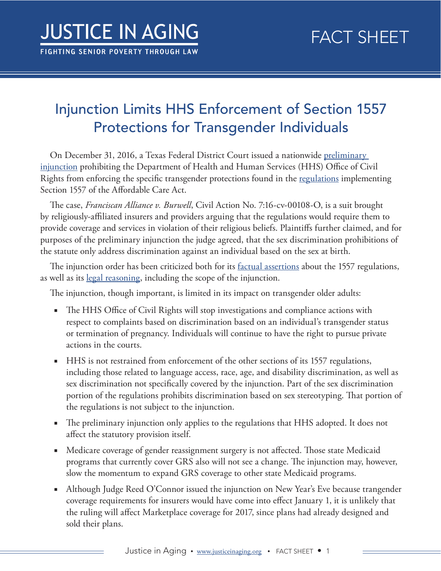## Injunction Limits HHS Enforcement of Section 1557 Protections for Transgender Individuals

On December 31, 2016, a Texas Federal District Court issued a nationwide [preliminary](http://premiumtaxcredits.wikispaces.com/file/view/Franciscan%20Alliance%20PI%20order.pdf/602930830/Franciscan%20Alliance%20PI%20order.pdf)  [injunction](http://premiumtaxcredits.wikispaces.com/file/view/Franciscan%20Alliance%20PI%20order.pdf/602930830/Franciscan%20Alliance%20PI%20order.pdf) prohibiting the Department of Health and Human Services (HHS) Office of Civil Rights from enforcing the specific transgender protections found in the [regulations](https://www.gpo.gov/fdsys/pkg/FR-2016-05-18/pdf/2016-11458.pdf) implementing Section 1557 of the Affordable Care Act.

The case, *Franciscan Alliance v. Burwell*, Civil Action No. 7:16-cv-00108-O, is a suit brought by religiously -affiliated insurers and providers arguing that the regulations would require them to provide coverage and services in violation of their religious beliefs. Plaintiffs further claimed, and for purposes of the preliminary injunction the judge agreed, that the sex discrimination prohibitions of the statute only address discrimination against an individual based on the sex at birth.

The injunction order has been criticized both for its <u>[factual assertions](http://healthaffairs.org/blog/2017/01/02/aca-pregnancy-termination-gender-identity-protections-blocked-wellness-program-incentives-survive/)</u> about the 1557 regulations, as well as its [legal reasoning](http://www.slate.com/blogs/outward/2017/01/03/doctors_may_refuse_to_treat_transgender_patients_and_women_who_ve_had_abortions.html), including the scope of the injunction.

The injunction, though important, is limited in its impact on transgender older adults:

- The HHS Office of Civil Rights will stop investigations and compliance actions with respect to complaints based on discrimination based on an individual's transgender status or termination of pregnancy. Individuals will continue to have the right to pursue private actions in the courts.
- HHS is not restrained from enforcement of the other sections of its 1557 regulations, including those related to language access, race, age, and disability discrimination, as well as sex discrimination not specifically covered by the injunction. Part of the sex discrimination portion of the regulations prohibits discrimination based on sex stereotyping. That portion of the regulations is not subject to the injunction.
- The preliminary injunction only applies to the regulations that HHS adopted. It does not affect the statutory provision itself.
- Medicare coverage of gender reassignment surgery is not affected. Those state Medicaid programs that currently cover GRS also will not see a change. The injunction may, however, slow the momentum to expand GRS coverage to other state Medicaid programs.
- Although Judge Reed O'Connor issued the injunction on New Year's Eve because trangender coverage requirements for insurers would have come into effect January 1, it is unlikely that the ruling will affect Marketplace coverage for 2017, since plans had already designed and sold their plans.